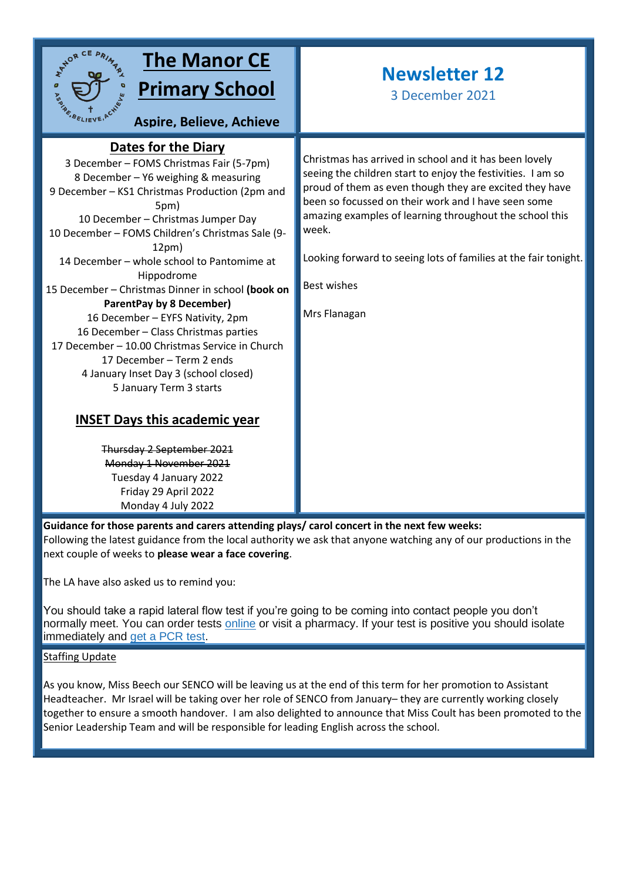

# **The Manor CE Primary School**

**Aspire, Believe, Achieve**

# **Dates for the Diary**

3 December – FOMS Christmas Fair (5-7pm) **sky**8 December – Y6 weighing & measuring 9 December – KS1 Christmas Production (2pm and 5pm) 10 December – Christmas Jumper Day 10 December – FOMS Children's Christmas Sale (9- 12pm) 14 December – whole school to Pantomime at Hippodrome 15 December – Christmas Dinner in school **(book on ParentPay by 8 December)** 16 December – EYFS Nativity, 2pm 16 December – Class Christmas parties 17 December – 10.00 Christmas Service in Church 17 December – Term 2 ends 4 January Inset Day 3 (school closed) 5 January Term 3 starts

## **INSET Days this academic year**

Thursday 2 September 2021 Monday 1 November 2021 Tuesday 4 January 2022 Friday 29 April 2022 Monday 4 July 2022

# **Newsletter 12**

3 December 2021

Christmas has arrived in school and it has been lovely seeing the children start to enjoy the festivities. I am so proud of them as even though they are excited they have been so focussed on their work and I have seen some amazing examples of learning throughout the school this week.

Looking forward to seeing lots of families at the fair tonight.

Best wishes

Mrs Flanagan

**Guidance for those parents and carers attending plays/ carol concert in the next few weeks:** Following the latest guidance from the local authority we ask that anyone watching any of our productions in the next couple of weeks to **please wear a face covering**.

The LA have also asked us to remind you:

You should take a rapid lateral flow test if you're going to be coming into contact people you don't normally meet. You can order tests [online](https://www.gov.uk/order-coronavirus-rapid-lateral-flow-tests) or visit a pharmacy. If your test is positive you should isolate immediately and [get a PCR test.](https://www.gov.uk/get-coronavirus-test)

### Staffing Update

As you know, Miss Beech our SENCO will be leaving us at the end of this term for her promotion to Assistant Headteacher. Mr Israel will be taking over her role of SENCO from January– they are currently working closely together to ensure a smooth handover. I am also delighted to announce that Miss Coult has been promoted to the Senior Leadership Team and will be responsible for leading English across the school.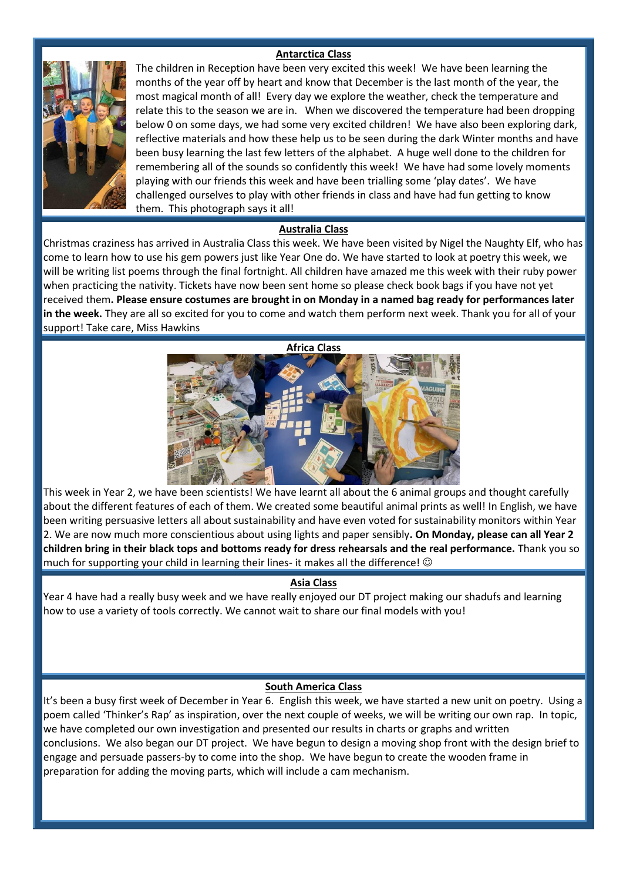### **Antarctica Class**



The children in Reception have been very excited this week! We have been learning the months of the year off by heart and know that December is the last month of the year, the most magical month of all! Every day we explore the weather, check the temperature and relate this to the season we are in. When we discovered the temperature had been dropping below 0 on some days, we had some very excited children! We have also been exploring dark, reflective materials and how these help us to be seen during the dark Winter months and have been busy learning the last few letters of the alphabet. A huge well done to the children for remembering all of the sounds so confidently this week! We have had some lovely moments playing with our friends this week and have been trialling some 'play dates'. We have challenged ourselves to play with other friends in class and have had fun getting to know them. This photograph says it all!

#### **Australia Class**

Christmas craziness has arrived in Australia Class this week. We have been visited by Nigel the Naughty Elf, who has come to learn how to use his gem powers just like Year One do. We have started to look at poetry this week, we will be writing list poems through the final fortnight. All children have amazed me this week with their ruby power when practicing the nativity. Tickets have now been sent home so please check book bags if you have not yet received them**. Please ensure costumes are brought in on Monday in a named bag ready for performances later in the week.** They are all so excited for you to come and watch them perform next week. Thank you for all of your support! Take care, Miss Hawkins



This week in Year 2, we have been scientists! We have learnt all about the 6 animal groups and thought carefully about the different features of each of them. We created some beautiful animal prints as well! In English, we have been writing persuasive letters all about sustainability and have even voted for sustainability monitors within Year 2. We are now much more conscientious about using lights and paper sensibly**. On Monday, please can all Year 2 children bring in their black tops and bottoms ready for dress rehearsals and the real performance.** Thank you so much for supporting your child in learning their lines- it makes all the difference!  $\odot$ 

#### **Asia Class**

Year 4 have had a really busy week and we have really enjoyed our DT project making our shadufs and learning how to use a variety of tools correctly. We cannot wait to share our final models with you!

#### **South America Class**

It's been a busy first week of December in Year 6. English this week, we have started a new unit on poetry. Using a poem called 'Thinker's Rap' as inspiration, over the next couple of weeks, we will be writing our own rap. In topic, we have completed our own investigation and presented our results in charts or graphs and written conclusions. We also began our DT project. We have begun to design a moving shop front with the design brief to engage and persuade passers-by to come into the shop. We have begun to create the wooden frame in preparation for adding the moving parts, which will include a cam mechanism.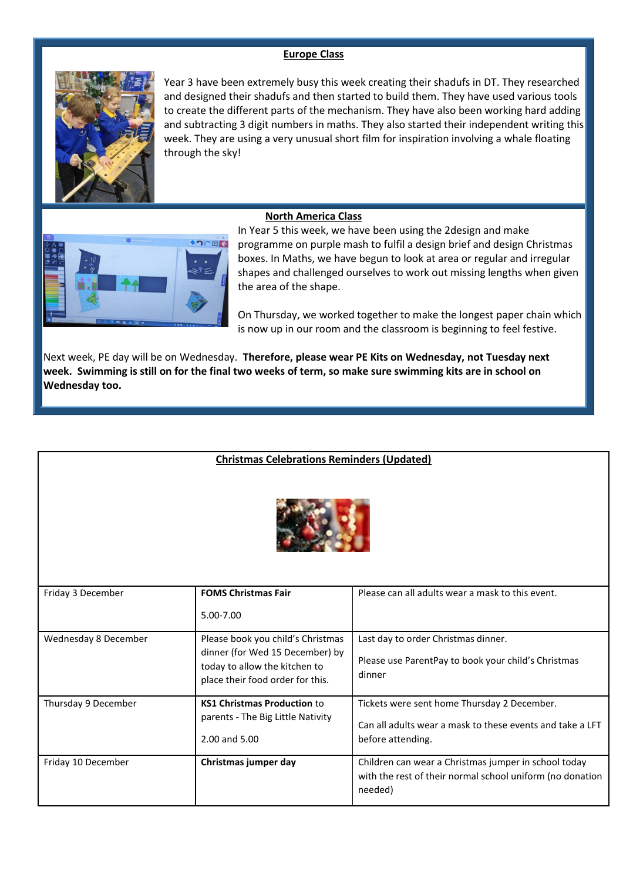### **Europe Class**



Year 3 have been extremely busy this week creating their shadufs in DT. They researched and designed their shadufs and then started to build them. They have used various tools to create the different parts of the mechanism. They have also been working hard adding and subtracting 3 digit numbers in maths. They also started their independent writing this week. They are using a very unusual short film for inspiration involving a whale floating through the sky!

#### **North America Class**



In Year 5 this week, we have been using the 2design and make programme on purple mash to fulfil a design brief and design Christmas boxes. In Maths, we have begun to look at area or regular and irregular shapes and challenged ourselves to work out missing lengths when given the area of the shape.

On Thursday, we worked together to make the longest paper chain which is now up in our room and the classroom is beginning to feel festive.

Next week, PE day will be on Wednesday. **Therefore, please wear PE Kits on Wednesday, not Tuesday next week. Swimming is still on for the final two weeks of term, so make sure swimming kits are in school on Wednesday too.**

|                      | <b>Christmas Celebrations Reminders (Updated)</b>                                                    |                                                                                                                              |
|----------------------|------------------------------------------------------------------------------------------------------|------------------------------------------------------------------------------------------------------------------------------|
|                      |                                                                                                      |                                                                                                                              |
| Friday 3 December    | <b>FOMS Christmas Fair</b>                                                                           | Please can all adults wear a mask to this event.                                                                             |
|                      | 5.00-7.00                                                                                            |                                                                                                                              |
| Wednesday 8 December | Please book you child's Christmas                                                                    | Last day to order Christmas dinner.                                                                                          |
|                      | dinner (for Wed 15 December) by<br>today to allow the kitchen to<br>place their food order for this. | Please use ParentPay to book your child's Christmas<br>dinner                                                                |
| Thursday 9 December  | <b>KS1 Christmas Production to</b>                                                                   | Tickets were sent home Thursday 2 December.                                                                                  |
|                      | parents - The Big Little Nativity                                                                    | Can all adults wear a mask to these events and take a LFT                                                                    |
|                      | 2.00 and 5.00                                                                                        | before attending.                                                                                                            |
| Friday 10 December   | Christmas jumper day                                                                                 | Children can wear a Christmas jumper in school today<br>with the rest of their normal school uniform (no donation<br>needed) |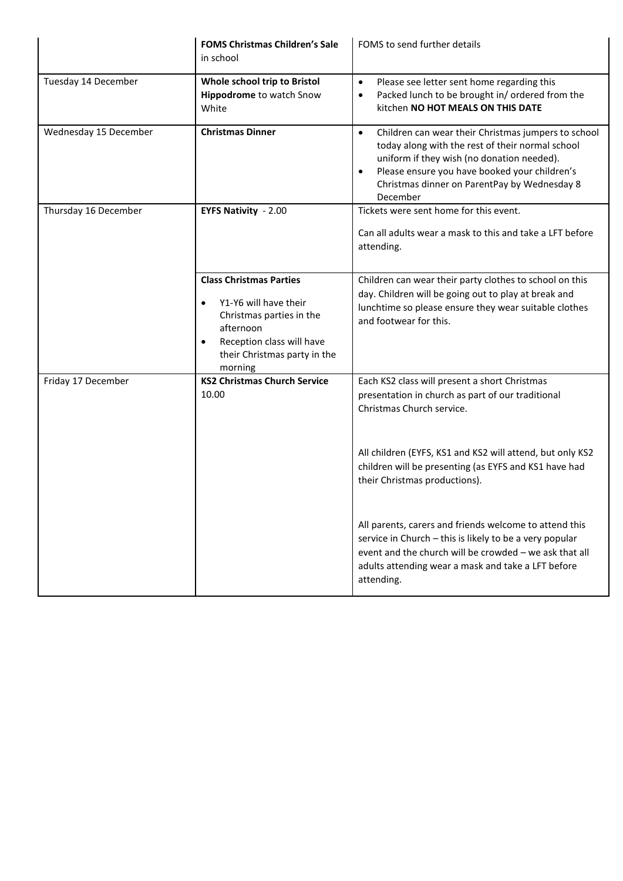|                       | <b>FOMS Christmas Children's Sale</b><br>in school                                                                                                                                                 | FOMS to send further details                                                                                                                                                                                                                                                                 |
|-----------------------|----------------------------------------------------------------------------------------------------------------------------------------------------------------------------------------------------|----------------------------------------------------------------------------------------------------------------------------------------------------------------------------------------------------------------------------------------------------------------------------------------------|
| Tuesday 14 December   | Whole school trip to Bristol<br>Hippodrome to watch Snow<br>White                                                                                                                                  | Please see letter sent home regarding this<br>$\bullet$<br>Packed lunch to be brought in/ordered from the<br>$\bullet$<br>kitchen NO HOT MEALS ON THIS DATE                                                                                                                                  |
| Wednesday 15 December | <b>Christmas Dinner</b>                                                                                                                                                                            | Children can wear their Christmas jumpers to school<br>$\bullet$<br>today along with the rest of their normal school<br>uniform if they wish (no donation needed).<br>Please ensure you have booked your children's<br>$\bullet$<br>Christmas dinner on ParentPay by Wednesday 8<br>December |
| Thursday 16 December  | <b>EYFS Nativity - 2.00</b>                                                                                                                                                                        | Tickets were sent home for this event.<br>Can all adults wear a mask to this and take a LFT before<br>attending.                                                                                                                                                                             |
|                       | <b>Class Christmas Parties</b><br>Y1-Y6 will have their<br>$\bullet$<br>Christmas parties in the<br>afternoon<br>Reception class will have<br>$\bullet$<br>their Christmas party in the<br>morning | Children can wear their party clothes to school on this<br>day. Children will be going out to play at break and<br>lunchtime so please ensure they wear suitable clothes<br>and footwear for this.                                                                                           |
| Friday 17 December    | <b>KS2 Christmas Church Service</b><br>10.00                                                                                                                                                       | Each KS2 class will present a short Christmas<br>presentation in church as part of our traditional<br>Christmas Church service.                                                                                                                                                              |
|                       |                                                                                                                                                                                                    | All children (EYFS, KS1 and KS2 will attend, but only KS2<br>children will be presenting (as EYFS and KS1 have had<br>their Christmas productions).                                                                                                                                          |
|                       |                                                                                                                                                                                                    | All parents, carers and friends welcome to attend this<br>service in Church - this is likely to be a very popular<br>event and the church will be crowded - we ask that all<br>adults attending wear a mask and take a LFT before<br>attending.                                              |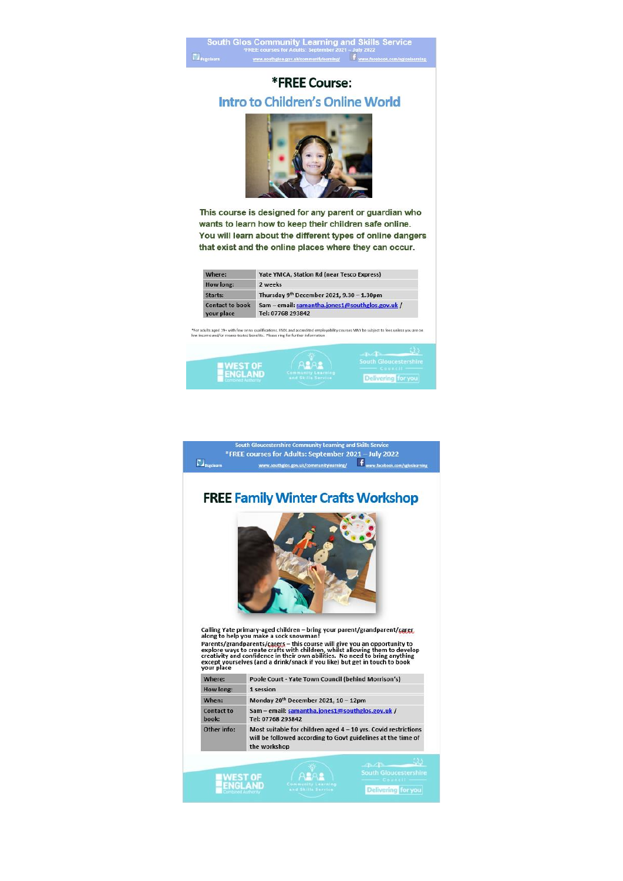

## \*FREE Course: **Intro to Children's Online World**



This course is designed for any parent or guardian who wants to learn how to keep their children safe online. You will learn about the different types of online dangers that exist and the online places where they can occur.

| Where:                               | <b>Yate YMCA, Station Rd (near Tesco Express)</b>                    |  |
|--------------------------------------|----------------------------------------------------------------------|--|
| How long:                            | 2 weeks                                                              |  |
| Starts:                              | Thursday 9 <sup>th</sup> December 2021, 9.30 - 1.30pm                |  |
| <b>Contact to book</b><br>your place | Sam - email: samantha.jones1@southglos.gov.uk /<br>Tel: 07768 293842 |  |

-<br>For adults aged 19+ with few or no qualifications. ESOL and accredited employability courses MAY be subject to fees unless you are on<br>w income and/or means-tested benefits. Please ring for further information